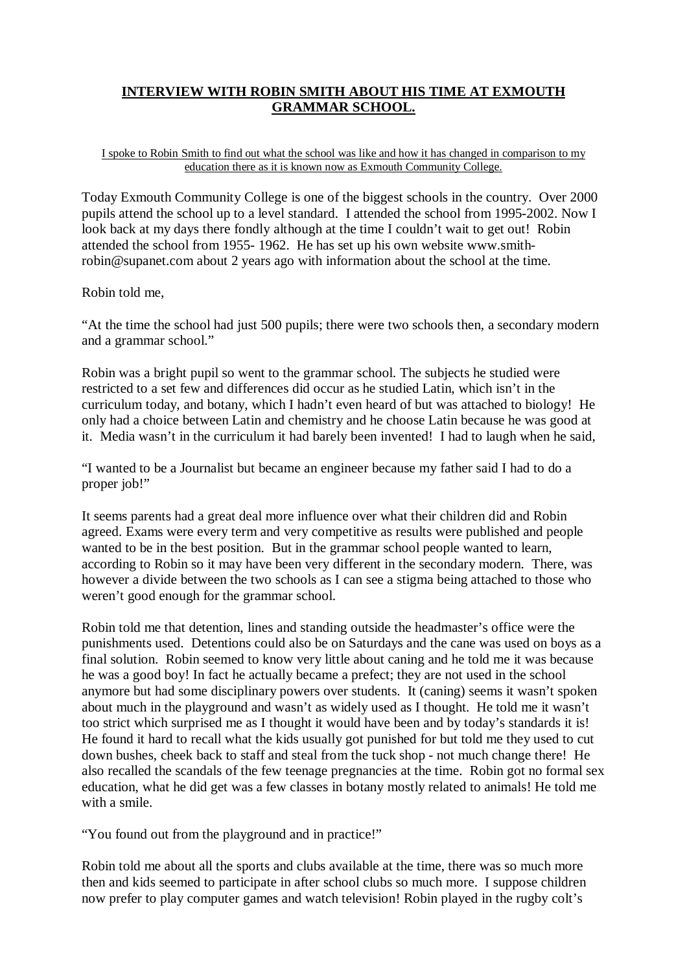## **INTERVIEW WITH ROBIN SMITH ABOUT HIS TIME AT EXMOUTH GRAMMAR SCHOOL.**

## I spoke to Robin Smith to find out what the school was like and how it has changed in comparison to my education there as it is known now as Exmouth Community College.

Today Exmouth Community College is one of the biggest schools in the country. Over 2000 pupils attend the school up to a level standard. I attended the school from 1995-2002. Now I look back at my days there fondly although at the time I couldn't wait to get out! Robin attended the school from 1955- 1962. He has set up his own website www.smithrobin@supanet.com about 2 years ago with information about the school at the time.

## Robin told me,

"At the time the school had just 500 pupils; there were two schools then, a secondary modern and a grammar school."

Robin was a bright pupil so went to the grammar school. The subjects he studied were restricted to a set few and differences did occur as he studied Latin, which isn't in the curriculum today, and botany, which I hadn't even heard of but was attached to biology! He only had a choice between Latin and chemistry and he choose Latin because he was good at it. Media wasn't in the curriculum it had barely been invented! I had to laugh when he said,

"I wanted to be a Journalist but became an engineer because my father said I had to do a proper job!"

It seems parents had a great deal more influence over what their children did and Robin agreed. Exams were every term and very competitive as results were published and people wanted to be in the best position. But in the grammar school people wanted to learn, according to Robin so it may have been very different in the secondary modern. There, was however a divide between the two schools as I can see a stigma being attached to those who weren't good enough for the grammar school.

Robin told me that detention, lines and standing outside the headmaster's office were the punishments used. Detentions could also be on Saturdays and the cane was used on boys as a final solution. Robin seemed to know very little about caning and he told me it was because he was a good boy! In fact he actually became a prefect; they are not used in the school anymore but had some disciplinary powers over students. It (caning) seems it wasn't spoken about much in the playground and wasn't as widely used as I thought. He told me it wasn't too strict which surprised me as I thought it would have been and by today's standards it is! He found it hard to recall what the kids usually got punished for but told me they used to cut down bushes, cheek back to staff and steal from the tuck shop - not much change there! He also recalled the scandals of the few teenage pregnancies at the time. Robin got no formal sex education, what he did get was a few classes in botany mostly related to animals! He told me with a smile.

"You found out from the playground and in practice!"

Robin told me about all the sports and clubs available at the time, there was so much more then and kids seemed to participate in after school clubs so much more. I suppose children now prefer to play computer games and watch television! Robin played in the rugby colt's